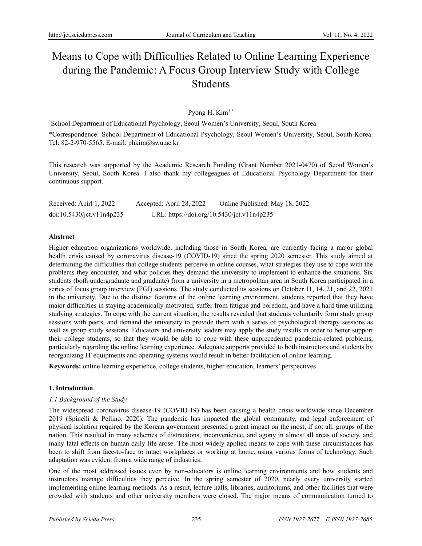# Means to Cope with Difficulties Related to Online Learning Experience during the Pandemic: A Focus Group Interview Study with College Students

Pyong H. Kim<sup>1,\*</sup>

1 School Department of Educational Psychology, Seoul Women's University, Seoul, South Korea

\*Correspondence: School Department of Educational Psychology, Seoul Women's University, Seoul, South Korea. Tel: 82-2-970-5565. E-mail: phkim@swu.ac.kr

This research was supported by the Academic Research Funding (Grant Number 2021-0470) of Seoul Women's University, Seoul, South Korea. I also thank my collegeagues of Educational Psychology Department for their continuous support.

| Received: Apirl 1, 2022   | Accepted: April 28, 2022                   | Online Published: May 18, 2022 |
|---------------------------|--------------------------------------------|--------------------------------|
| doi:10.5430/jct.v11n4p235 | URL: https://doi.org/10.5430/jct.v11n4p235 |                                |

## **Abstract**

Higher education organizations worldwide, including those in South Korea, are currently facing a major global health crisis caused by coronavirus disease-19 (COVID-19) since the spring 2020 semester. This study aimed at determining the difficulties that college students perceive in online courses, what strategies they use to cope with the problems they encounter, and what policies they demand the university to implement to enhance the situations. Six students (both undergraduate and graduate) from a university in a metropolitan area in South Korea participated in a series of focus group interview (FGI) sessions. The study conducted its sessions on October 11, 14, 21, and 22, 2021 in the university. Due to the distinct features of the online learning environment, students reported that they have major difficulties in staying academically motivated, suffer from fatigue and boredom, and have a hard time utilizing studying strategies. To cope with the current situation, the results revealed that students voluntarily form study group sessions with peers, and demand the university to provide them with a series of psychological therapy sessions as well as group study sessions. Educators and university leaders may apply the study results in order to better support their college students, so that they would be able to cope with these unprecedented pandemic-related problems, particularly regarding the online learning experience. Adequate supports provided to both instructors and students by reorganizing IT equipments and operating systems would result in better facilitation of online learning.

**Keywords:** online learning experience, college students, higher education, learners' perspectives

# **1. Introduction**

# *1.1 Background of the Study*

The widespread coronavirus disease-19 (COVID-19) has been causing a health crisis worldwide since December 2019 (Spinelli & Pellino, 2020). The pandemic has impacted the global community, and legal enforcement of physical isolation required by the Korean government presented a great impact on the most, if not all, groups of the nation. This resulted in many schemes of distractions, inconvenience, and agony in almost all areas of society, and many fatal effects on human daily life arose. The most widely applied means to cope with these circumstances has been to shift from face-to-face to intact workplaces or working at home, using various forms of technology. Such adaptation was evident from a wide range of industries.

One of the most addressed issues even by non-educators is online learning environments and how students and instructors manage difficulties they perceive. In the spring semester of 2020, nearly every university started implementing online learning methods. As a result, lecture halls, libraries, auditoriums, and other facilities that were crowded with students and other university members were closed. The major means of communication turned to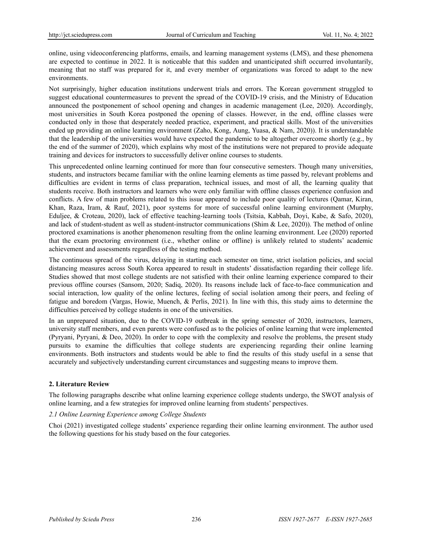online, using videoconferencing platforms, emails, and learning management systems (LMS), and these phenomena are expected to continue in 2022. It is noticeable that this sudden and unanticipated shift occurred involuntarily, meaning that no staff was prepared for it, and every member of organizations was forced to adapt to the new environments.

Not surprisingly, higher education institutions underwent trials and errors. The Korean government struggled to suggest educational countermeasures to prevent the spread of the COVID-19 crisis, and the Ministry of Education announced the postponement of school opening and changes in academic management (Lee, 2020). Accordingly, most universities in South Korea postponed the opening of classes. However, in the end, offline classes were conducted only in those that desperately needed practice, experiment, and practical skills. Most of the universities ended up providing an online learning environment (Zaho, Kong, Aung, Yuasa, & Nam, 2020)). It is understandable that the leadership of the universities would have expected the pandemic to be altogether overcome shortly (e.g., by the end of the summer of 2020), which explains why most of the institutions were not prepared to provide adequate training and devices for instructors to successfully deliver online courses to students.

This unprecedented online learning continued for more than four consecutive semesters. Though many universities, students, and instructors became familiar with the online learning elements as time passed by, relevant problems and difficulties are evident in terms of class preparation, technical issues, and most of all, the learning quality that students receive. Both instructors and learners who were only familiar with offline classes experience confusion and conflicts. A few of main problems related to this issue appeared to include poor quality of lectures (Qamar, Kiran, Khan, Raza, Iram, & Rauf, 2021), poor systems for more of successful online learning environment (Murphy, Eduljee, & Croteau, 2020), lack of effective teaching-learning tools (Tsitsia, Kabbah, Doyi, Kabe, & Safo, 2020), and lack of student-student as well as student-instructor communications (Shim & Lee, 2020)). The method of online proctored examinations is another phenomenon resulting from the online learning environment. Lee (2020) reported that the exam proctoring environment (i.e., whether online or offline) is unlikely related to students' academic achievement and assessments regardless of the testing method.

The continuous spread of the virus, delaying in starting each semester on time, strict isolation policies, and social distancing measures across South Korea appeared to result in students' dissatisfaction regarding their college life. Studies showed that most college students are not satisfied with their online learning experience compared to their previous offline courses (Sansom, 2020; Sadiq, 2020). Its reasons include lack of face-to-face communication and social interaction, low quality of the online lectures, feeling of social isolation among their peers, and feeling of fatigue and boredom (Vargas, Howie, Muench, & Perlis, 2021). In line with this, this study aims to determine the difficulties perceived by college students in one of the universities.

In an unprepared situation, due to the COVID-19 outbreak in the spring semester of 2020, instructors, learners, university staff members, and even parents were confused as to the policies of online learning that were implemented (Pyryani, Pyryani, & Deo, 2020). In order to cope with the complexity and resolve the problems, the present study pursuits to examine the difficulties that college students are experiencing regarding their online learning environments. Both instructors and students would be able to find the results of this study useful in a sense that accurately and subjectively understanding current circumstances and suggesting means to improve them.

## **2. Literature Review**

The following paragraphs describe what online learning experience college students undergo, the SWOT analysis of online learning, and a few strategies for improved online learning from students' perspectives.

## *2.1 Online Learning Experience among College Students*

Choi (2021) investigated college students' experience regarding their online learning environment. The author used the following questions for his study based on the four categories.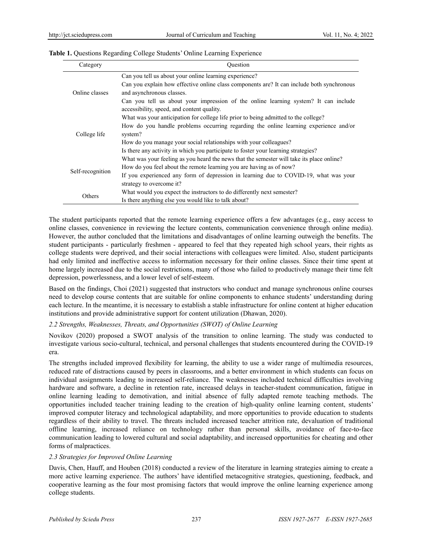|  |  |  | Table 1. Questions Regarding College Students' Online Learning Experience |
|--|--|--|---------------------------------------------------------------------------|
|  |  |  |                                                                           |

| Category         | Ouestion                                                                                                                          |
|------------------|-----------------------------------------------------------------------------------------------------------------------------------|
|                  | Can you tell us about your online learning experience?                                                                            |
|                  | Can you explain how effective online class components are? It can include both synchronous                                        |
| Online classes   | and asynchronous classes.                                                                                                         |
|                  | Can you tell us about your impression of the online learning system? It can include<br>accessibility, speed, and content quality. |
|                  | What was your anticipation for college life prior to being admitted to the college?                                               |
|                  | How do you handle problems occurring regarding the online learning experience and/or                                              |
| College life     | system?                                                                                                                           |
|                  | How do you manage your social relationships with your colleagues?                                                                 |
|                  | Is there any activity in which you participate to foster your learning strategies?                                                |
|                  | What was your feeling as you heard the news that the semester will take its place online?                                         |
| Self-recognition | How do you feel about the remote learning you are having as of now?                                                               |
|                  | If you experienced any form of depression in learning due to COVID-19, what was your                                              |
|                  | strategy to overcome it?                                                                                                          |
| Others           | What would you expect the instructors to do differently next semester?                                                            |
|                  | Is there anything else you would like to talk about?                                                                              |

The student participants reported that the remote learning experience offers a few advantages (e.g., easy access to online classes, convenience in reviewing the lecture contents, communication convenience through online media). However, the author concluded that the limitations and disadvantages of online learning outweigh the benefits. The student participants - particularly freshmen - appeared to feel that they repeated high school years, their rights as college students were deprived, and their social interactions with colleagues were limited. Also, student participants had only limited and ineffective access to information necessary for their online classes. Since their time spent at home largely increased due to the social restrictions, many of those who failed to productively manage their time felt depression, powerlessness, and a lower level of self-esteem.

Based on the findings, Choi (2021) suggested that instructors who conduct and manage synchronous online courses need to develop course contents that are suitable for online components to enhance students' understanding during each lecture. In the meantime, it is necessary to establish a stable infrastructure for online content at higher education institutions and provide administrative support for content utilization (Dhawan, 2020).

## *2.2 Strengths, Weaknesses, Threats, and Opportunities (SWOT) of Online Learning*

Novikov (2020) proposed a SWOT analysis of the transition to online learning. The study was conducted to investigate various socio-cultural, technical, and personal challenges that students encountered during the COVID-19 era.

The strengths included improved flexibility for learning, the ability to use a wider range of multimedia resources, reduced rate of distractions caused by peers in classrooms, and a better environment in which students can focus on individual assignments leading to increased self-reliance. The weaknesses included technical difficulties involving hardware and software, a decline in retention rate, increased delays in teacher-student communication, fatigue in online learning leading to demotivation, and initial absence of fully adapted remote teaching methods. The opportunities included teacher training leading to the creation of high-quality online learning content, students' improved computer literacy and technological adaptability, and more opportunities to provide education to students regardless of their ability to travel. The threats included increased teacher attrition rate, devaluation of traditional offline learning, increased reliance on technology rather than personal skills, avoidance of face-to-face communication leading to lowered cultural and social adaptability, and increased opportunities for cheating and other forms of malpractices.

## *2.3 Strategies for Improved Online Learning*

Davis, Chen, Hauff, and Houben (2018) conducted a review of the literature in learning strategies aiming to create a more active learning experience. The authors' have identified metacognitive strategies, questioning, feedback, and cooperative learning as the four most promising factors that would improve the online learning experience among college students.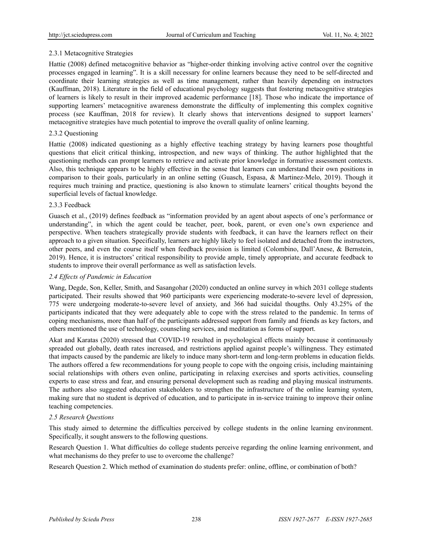## 2.3.1 Metacognitive Strategies

Hattie (2008) defined metacognitive behavior as "higher-order thinking involving active control over the cognitive processes engaged in learning". It is a skill necessary for online learners because they need to be self-directed and coordinate their learning strategies as well as time management, rather than heavily depending on instructors (Kauffman, 2018). Literature in the field of educational psychology suggests that fostering metacognitive strategies of learners is likely to result in their improved academic performance [18]. Those who indicate the importance of supporting learners' metacognitive awareness demonstrate the difficulty of implementing this complex cognitive process (see Kauffman, 2018 for review). It clearly shows that interventions designed to support learners' metacognitive strategies have much potential to improve the overall quality of online learning.

## 2.3.2 Questioning

Hattie (2008) indicated questioning as a highly effective teaching strategy by having learners pose thoughtful questions that elicit critical thinking, introspection, and new ways of thinking. The author highlighted that the questioning methods can prompt learners to retrieve and activate prior knowledge in formative assessment contexts. Also, this technique appears to be highly effective in the sense that learners can understand their own positions in comparison to their goals, particularly in an online setting (Guasch, Espasa, & Martinez-Melo, 2019). Though it requires much training and practice, questioning is also known to stimulate learners' critical thoughts beyond the superficial levels of factual knowledge.

## 2.3.3 Feedback

Guasch et al., (2019) defines feedback as "information provided by an agent about aspects of one's performance or understanding", in which the agent could be teacher, peer, book, parent, or even one's own experience and perspective. When teachers strategically provide students with feedback, it can have the learners reflect on their approach to a given situation. Specifically, learners are highly likely to feel isolated and detached from the instructors, other peers, and even the course itself when feedback provision is limited (Colombino, Dall'Anese, & Bernstein, 2019). Hence, it is instructors' critical responsibility to provide ample, timely appropriate, and accurate feedback to students to improve their overall performance as well as satisfaction levels.

## *2.4 Effects of Pandemic in Education*

Wang, Degde, Son, Keller, Smith, and Sasangohar (2020) conducted an online survey in which 2031 college students participated. Their results showed that 960 participants were experiencing moderate-to-severe level of depression, 775 were undergoing moderate-to-severe level of anxiety, and 366 had suicidal thougths. Only 43.25% of the participants indicated that they were adequately able to cope with the stress related to the pandemic. In terms of coping mechanisms, more than half of the participants addressed support from family and friends as key factors, and others mentioned the use of technology, counseling services, and meditation as forms of support.

Akat and Karatas (2020) stressed that COVID-19 resulted in psychological effects mainly because it continuously spreaded out globally, death rates increased, and restrictions applied against people's willingness. They estimated that impacts caused by the pandemic are likely to induce many short-term and long-term problems in education fields. The authors offered a few recommendations for young people to cope with the ongoing crisis, including maintaining social relationships with others even online, participating in relaxing exercises and sports activities, counseling experts to ease stress and fear, and ensuring personal development such as reading and playing musical instruments. The authors also suggested education stakeholders to strengthen the infrastructure of the online learning system, making sure that no student is deprived of education, and to participate in in-service training to improve their online teaching competencies.

# *2.5 Research Questions*

This study aimed to determine the difficulties perceived by college students in the online learning environment. Specifically, it sought answers to the following questions.

Research Question 1. What difficulties do college students perceive regarding the online learning enrivonment, and what mechanisms do they prefer to use to overcome the challenge?

Research Question 2. Which method of examination do students prefer: online, offline, or combination of both?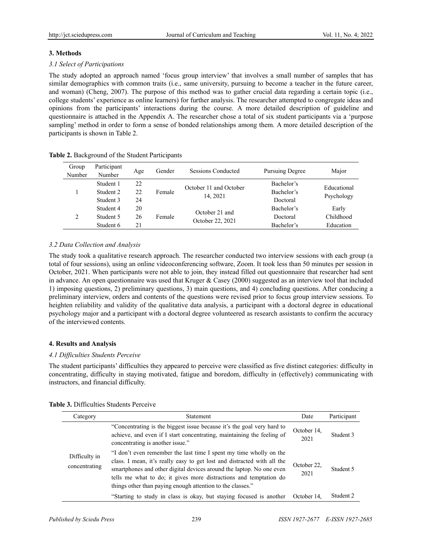## **3. Methods**

### *3.1 Select of Participations*

The study adopted an approach named 'focus group interview' that involves a small number of samples that has similar demographics with common traits (i.e., same university, pursuing to become a teacher in the future career, and woman) (Cheng, 2007). The purpose of this method was to gather crucial data regarding a certain topic (i.e., college students' experience as online learners) for further analysis. The researcher attempted to congregate ideas and opinions from the participants' interactions during the course. A more detailed description of guideline and questionnaire is attached in the Appendix A. The researcher chose a total of six student participants via a 'purpose sampling' method in order to form a sense of bonded relationships among them. A more detailed description of the participants is shown in Table 2.

| Group<br>Number | Participant<br>Number | Age | Gender           | Sessions Conducted     | <b>Pursuing Degree</b> | Major       |            |
|-----------------|-----------------------|-----|------------------|------------------------|------------------------|-------------|------------|
|                 | Student 1             | 22  |                  | October 11 and October | Bachelor's             | Educational |            |
|                 | Student 2             | 22  | Female           | 14, 2021               |                        | Bachelor's  | Psychology |
|                 | Student 3             | 24  |                  |                        | Doctoral               |             |            |
|                 | Student 4             | 20  |                  | October 21 and         | Bachelor's             | Early       |            |
| 2               | Student 5             | 26  | Female           |                        | Doctoral               | Childhood   |            |
|                 | Student 6             | 21  | October 22, 2021 |                        | Bachelor's             | Education   |            |

### **Table 2.** Background of the Student Participants

## *3.2 Data Collection and Analysis*

The study took a qualitative research approach. The researcher conducted two interview sessions with each group (a total of four sessions), using an online videoconferencing software, Zoom. It took less than 50 minutes per session in October, 2021. When participants were not able to join, they instead filled out questionnaire that researcher had sent in advance. An open questionnaire was used that Kruger  $&$  Casey (2000) suggested as an interview tool that included 1) imposing questions, 2) preliminary questions, 3) main questions, and 4) concluding questions. After conducing a preliminary interview, orders and contents of the questions were revised prior to focus group interview sessions. To heighten reliability and validity of the qualitative data analysis, a participant with a doctoral degree in educational psychology major and a participant with a doctoral degree volunteered as research assistants to confirm the accuracy of the interviewed contents.

## **4. Results and Analysis**

## *4.1 Difficulties Students Perceive*

The student participants' difficulties they appeared to perceive were classified as five distinct categories: difficulty in concentrating, difficulty in staying motivated, fatigue and boredom, difficulty in (effectively) communicating with instructors, and financial difficulty.

| Category                       | <b>Statement</b>                                                                                                                                                                                                                                                                                                                                         | Date                | Participant          |
|--------------------------------|----------------------------------------------------------------------------------------------------------------------------------------------------------------------------------------------------------------------------------------------------------------------------------------------------------------------------------------------------------|---------------------|----------------------|
|                                | "Concentrating is the biggest issue because it's the goal very hard to<br>achieve, and even if I start concentrating, maintaining the feeling of<br>concentrating is another issue."                                                                                                                                                                     | October 14,<br>2021 | Student 3            |
| Difficulty in<br>concentrating | "I don't even remember the last time I spent my time wholly on the<br>class. I mean, it's really easy to get lost and distracted with all the<br>smartphones and other digital devices around the laptop. No one even<br>tells me what to do; it gives more distractions and temptation do<br>things other than paying enough attention to the classes." | October 22,<br>2021 | Student 5            |
|                                | "Starting to study in class is okay, but staying focused is another                                                                                                                                                                                                                                                                                      | October 14.         | Student <sub>2</sub> |

**Table 3.** Difficulties Students Perceive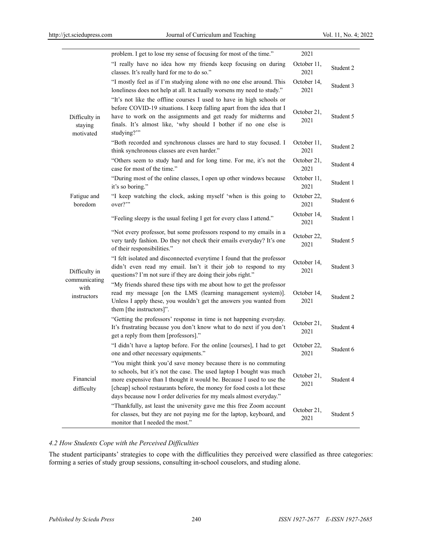|                                       | problem. I get to lose my sense of focusing for most of the time."                                                                                                                                                                                                                                                                                               | 2021                |           |
|---------------------------------------|------------------------------------------------------------------------------------------------------------------------------------------------------------------------------------------------------------------------------------------------------------------------------------------------------------------------------------------------------------------|---------------------|-----------|
|                                       | "I really have no idea how my friends keep focusing on during<br>classes. It's really hard for me to do so."                                                                                                                                                                                                                                                     | October 11,<br>2021 | Student 2 |
|                                       | "I mostly feel as if I'm studying alone with no one else around. This<br>loneliness does not help at all. It actually worsens my need to study."                                                                                                                                                                                                                 | October 14,<br>2021 | Student 3 |
| Difficulty in<br>staying<br>motivated | "It's not like the offline courses I used to have in high schools or<br>before COVID-19 situations. I keep falling apart from the idea that I<br>have to work on the assignments and get ready for midterms and<br>finals. It's almost like, 'why should I bother if no one else is<br>studying?"                                                                | October 21,<br>2021 | Student 5 |
|                                       | "Both recorded and synchronous classes are hard to stay focused. I<br>think synchronous classes are even harder."                                                                                                                                                                                                                                                | October 11,<br>2021 | Student 2 |
|                                       | "Others seem to study hard and for long time. For me, it's not the<br>case for most of the time."                                                                                                                                                                                                                                                                | October 21,<br>2021 | Student 4 |
|                                       | "During most of the online classes, I open up other windows because<br>it's so boring."                                                                                                                                                                                                                                                                          | October 11,<br>2021 | Student 1 |
| Fatigue and<br>boredom                | "I keep watching the clock, asking myself 'when is this going to<br>over?"                                                                                                                                                                                                                                                                                       | October 22,<br>2021 | Student 6 |
|                                       | "Feeling sleepy is the usual feeling I get for every class I attend."                                                                                                                                                                                                                                                                                            | October 14,<br>2021 | Student 1 |
|                                       | "Not every professor, but some professors respond to my emails in a<br>very tardy fashion. Do they not check their emails everyday? It's one<br>of their responsibilities."                                                                                                                                                                                      | October 22,<br>2021 | Student 5 |
| Difficulty in                         | "I felt isolated and disconnected everytime I found that the professor<br>didn't even read my email. Isn't it their job to respond to my<br>questions? I'm not sure if they are doing their jobs right."                                                                                                                                                         | October 14,<br>2021 | Student 3 |
| communicating<br>with<br>instructors  | "My friends shared these tips with me about how to get the professor<br>read my message [on the LMS (learning management system)].<br>Unless I apply these, you wouldn't get the answers you wanted from<br>them [the instructors]".                                                                                                                             | October 14,<br>2021 | Student 2 |
|                                       | "Getting the professors' response in time is not happening everyday.<br>It's frustrating because you don't know what to do next if you don't<br>get a reply from them [professors]."                                                                                                                                                                             | October 21,<br>2021 | Student 4 |
|                                       | "I didn't have a laptop before. For the online [courses], I had to get<br>one and other necessary equipments."                                                                                                                                                                                                                                                   | October 22,<br>2021 | Student 6 |
| Financial<br>difficulty               | "You might think you'd save money because there is no commuting<br>to schools, but it's not the case. The used laptop I bought was much<br>more expensive than I thought it would be. Because I used to use the<br>[cheap] school restaurants before, the money for food costs a lot these<br>days because now I order deliveries for my meals almost everyday." | October 21,<br>2021 | Student 4 |
|                                       | "Thankfully, ast least the university gave me this free Zoom account<br>for classes, but they are not paying me for the laptop, keyboard, and<br>monitor that I needed the most."                                                                                                                                                                                | October 21,<br>2021 | Student 5 |

## *4.2 How Students Cope with the Perceived Difficulties*

The student participants' strategies to cope with the difficulities they perceived were classified as three categories: forming a series of study group sessions, consulting in-school couselors, and studing alone.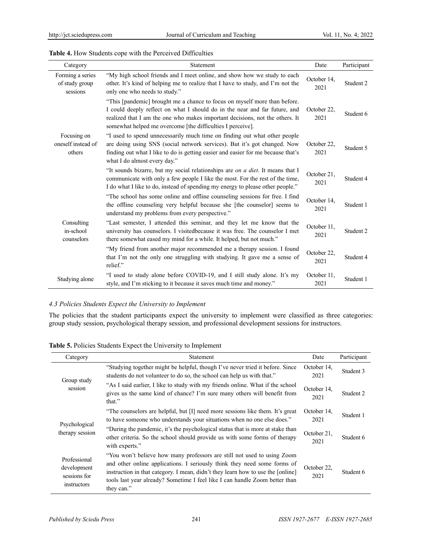|  |  |  |  |  |  |  |  | Table 4. How Students cope with the Perceived Difficulties |  |
|--|--|--|--|--|--|--|--|------------------------------------------------------------|--|
|--|--|--|--|--|--|--|--|------------------------------------------------------------|--|

| Category                                       | Statement                                                                                                                                                                                                                                                                                             | Date                | Participant |
|------------------------------------------------|-------------------------------------------------------------------------------------------------------------------------------------------------------------------------------------------------------------------------------------------------------------------------------------------------------|---------------------|-------------|
| Forming a series<br>of study group<br>sessions | "My high school friends and I meet online, and show how we study to each<br>other. It's kind of helping me to realize that I have to study, and I'm not the<br>only one who needs to study."                                                                                                          | October 14,<br>2021 | Student 2   |
|                                                | "This [pandemic] brought me a chance to focus on myself more than before.<br>I could deeply reflect on what I should do in the near and far future, and<br>realized that I am the one who makes important decisions, not the others. It<br>somewhat helped me overcome [the difficulties I perceive]. | October 22.<br>2021 | Student 6   |
| Focusing on<br>oneself instead of<br>others    | "I used to spend unnecessarily much time on finding out what other people<br>are doing using SNS (social network services). But it's got changed. Now<br>finding out what I like to do is getting easier and easier for me because that's<br>what I do almost every day."                             | October 22,<br>2021 | Student 5   |
|                                                | "It sounds bizarre, but my social relationships are on a diet. It means that I<br>communicate with only a few people I like the most. For the rest of the time,<br>I do what I like to do, instead of spending my energy to please other people."                                                     | October 21,<br>2021 | Student 4   |
|                                                | "The school has some online and offline counseling sessions for free. I find<br>the offline counseling very helpful because she [the counselor] seems to<br>understand my problems from every perspective."                                                                                           | October 14,<br>2021 | Student 1   |
| Consulting<br>in-school<br>counselors          | "Last semester, I attended this seminar, and they let me know that the<br>university has counselors. I visited because it was free. The counselor I met<br>there somewhat eased my mind for a while. It helped, but not much."                                                                        | October 11,<br>2021 | Student 2   |
|                                                | "My friend from another major recommended me a therapy session. I found<br>that I'm not the only one struggling with studying. It gave me a sense of<br>relief."                                                                                                                                      | October 22,<br>2021 | Student 4   |
| Studying alone                                 | "I used to study alone before COVID-19, and I still study alone. It's my<br>style, and I'm sticking to it because it saves much time and money."                                                                                                                                                      | October 11,<br>2021 | Student 1   |

## *4.3 Policies Students Expect the University to Implement*

The policies that the student participants expect the university to implement were classified as three categories: group study session, psychological therapy session, and professional development sessions for instructors.

**Table 5.** Policies Students Expect the University to Implement

| Category                                                   | Statement                                                                                                                                                                                                                                                                                                                           | Date                | Participant |
|------------------------------------------------------------|-------------------------------------------------------------------------------------------------------------------------------------------------------------------------------------------------------------------------------------------------------------------------------------------------------------------------------------|---------------------|-------------|
| Group study<br>session                                     | "Studying together might be helpful, though I've never tried it before. Since<br>students do not volunteer to do so, the school can help us with that."                                                                                                                                                                             | October 14,<br>2021 | Student 3   |
|                                                            | "As I said earlier, I like to study with my friends online. What if the school<br>gives us the same kind of chance? I'm sure many others will benefit from<br>that."                                                                                                                                                                | October 14,<br>2021 | Student 2   |
| Psychological<br>therapy session                           | "The counselors are helpful, but [I] need more sessions like them. It's great<br>to have someone who understands your situations when no one else does."                                                                                                                                                                            | October 14,<br>2021 | Student 1   |
|                                                            | "During the pandemic, it's the psychological status that is more at stake than<br>other criteria. So the school should provide us with some forms of therapy<br>with experts."                                                                                                                                                      | October 21,<br>2021 | Student 6   |
| Professional<br>development<br>sessions for<br>instructors | "You won't believe how many professors are still not used to using Zoom<br>and other online applications. I seriously think they need some forms of<br>instruction in that category. I mean, didn't they learn how to use the [online]<br>tools last year already? Sometime I feel like I can handle Zoom better than<br>they can." | October 22,<br>2021 | Student 6   |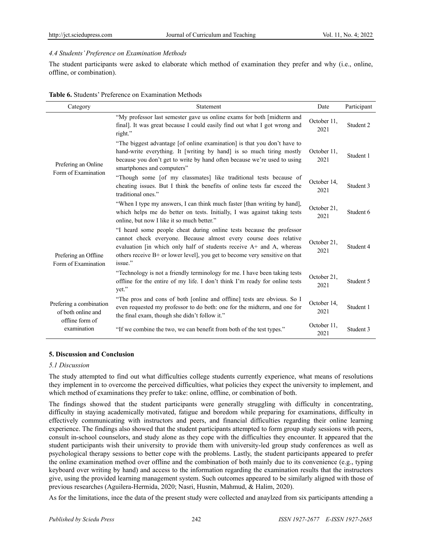## *4.4 Students' Preference on Examination Methods*

The student participants were asked to elaborate which method of examination they prefer and why (i.e., online, offline, or combination).

| Category                                                                        | Statement                                                                                                                                                                                                                                                                                                    | Date                | Participant |
|---------------------------------------------------------------------------------|--------------------------------------------------------------------------------------------------------------------------------------------------------------------------------------------------------------------------------------------------------------------------------------------------------------|---------------------|-------------|
|                                                                                 | "My professor last semester gave us online exams for both [midterm and<br>final]. It was great because I could easily find out what I got wrong and<br>right."                                                                                                                                               | October 11,<br>2021 | Student 2   |
| Prefering an Online<br>Form of Examination                                      | "The biggest advantage [of online examination] is that you don't have to<br>hand-write everything. It [writing by hand] is so much tiring mostly<br>because you don't get to write by hand often because we're used to using<br>smartphones and computers"                                                   | October 11,<br>2021 | Student 1   |
|                                                                                 | "Though some [of my classmates] like traditional tests because of<br>cheating issues. But I think the benefits of online tests far exceed the<br>traditional ones."                                                                                                                                          | October 14,<br>2021 | Student 3   |
|                                                                                 | "When I type my answers, I can think much faster [than writing by hand],<br>which helps me do better on tests. Initially, I was against taking tests<br>online, but now I like it so much better."                                                                                                           | October 21,<br>2021 | Student 6   |
| Prefering an Offline<br>Form of Examination                                     | "I heard some people cheat during online tests because the professor<br>cannot check everyone. Because almost every course does relative<br>evaluation [in which only half of students receive A+ and A, whereas<br>others receive $B+$ or lower level], you get to become very sensitive on that<br>issue." | October 21.<br>2021 | Student 4   |
|                                                                                 | "Technology is not a friendly terminology for me. I have been taking tests<br>offline for the entire of my life. I don't think I'm ready for online tests<br>yet."                                                                                                                                           | October 21,<br>2021 | Student 5   |
| Prefering a combination<br>of both online and<br>offline form of<br>examination | "The pros and cons of both [online and offline] tests are obvious. So I<br>even requested my professor to do both: one for the midterm, and one for<br>the final exam, though she didn't follow it."                                                                                                         | October 14,<br>2021 | Student 1   |
|                                                                                 | "If we combine the two, we can benefit from both of the test types."                                                                                                                                                                                                                                         | October 11.<br>2021 | Student 3   |

**Table 6.** Students' Preference on Examination Methods

#### **5. Discussion and Conclusion**

#### *5.1 Discussion*

The study attempted to find out what difficulties college students currently experience, what means of resolutions they implement in to overcome the perceived difficulties, what policies they expect the university to implement, and which method of examinations they prefer to take: online, offline, or combination of both.

The findings showed that the student participants were generally struggling with difficulty in concentrating, difficulty in staying academically motivated, fatigue and boredom while preparing for examinations, difficulty in effectively communicating with instructors and peers, and financial difficulties regarding their online learning experience. The findings also showed that the student participants attempted to form group study sessions with peers, consult in-school counselors, and study alone as they cope with the difficulties they encounter. It appeared that the student participants wish their university to provide them with university-led group study conferences as well as psychological therapy sessions to better cope with the problems. Lastly, the student participants appeared to prefer the online examination method over offline and the combination of both mainly due to its convenience (e.g., typing keyboard over writing by hand) and access to the information regarding the examination results that the instructors give, using the provided learning management system. Such outcomes appeared to be similarly aligned with those of previous researches (Aguilera-Hermida, 2020; Nasri, Husnin, Mahmud, & Halim, 2020).

As for the limitations, ince the data of the present study were collected and anaylzed from six participants attending a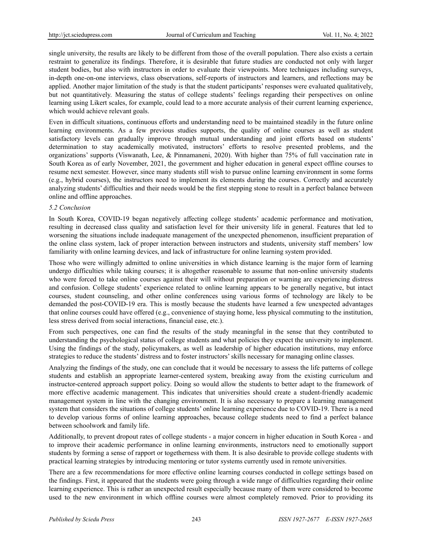single university, the results are likely to be different from those of the overall population. There also exists a certain restraint to generalize its findings. Therefore, it is desirable that future studies are conducted not only with larger student bodies, but also with instructors in order to evaluate their viewpoints. More techniques including surveys, in-depth one-on-one interviews, class observations, self-reports of instructors and learners, and reflections may be applied. Another major limitation of the study is that the student participants' responses were evaluated qualitatively, but not quantitatively. Measuring the status of college students' feelings regarding their perspectives on online learning using Likert scales, for example, could lead to a more accurate analysis of their current learning experience, which would achieve relevant goals.

Even in difficult situations, continuous efforts and understanding need to be maintained steadily in the future online learning environments. As a few previous studies supports, the quality of online courses as well as student satisfactory levels can gradually improve through mutual understanding and joint efforts based on students' determination to stay academically motivated, instructors' efforts to resolve presented problems, and the organizations' supports (Viswanath, Lee, & Pinnamaneni, 2020). With higher than 75% of full vaccination rate in South Korea as of early November, 2021, the government and higher education in general expect offline courses to resume next semester. However, since many students still wish to pursue online learning environment in some forms (e.g., hybrid courses), the instructors need to implement its elements during the courses. Correctly and accurately analyzing students' difficulties and their needs would be the first stepping stone to result in a perfect balance between online and offline approaches.

### *5.2 Conclusion*

In South Korea, COVID-19 began negatively affecting college students' academic performance and motivation, resulting in decreased class quality and satisfaction level for their university life in general. Features that led to worsening the situations include inadequate management of the unexpected phenomenon, insufficient preparation of the online class system, lack of proper interaction between instructors and students, university staff members' low familiarity with online learning devices, and lack of infrastructure for online learning system provided.

Those who were willingly admitted to online universities in which distance learning is the major form of learning undergo difficulties while taking courses; it is altogether reasonable to assume that non-online university students who were forced to take online courses against their will without preparation or warning are experiencing distress and confusion. College students' experience related to online learning appears to be generally negative, but intact courses, student counseling, and other online conferences using various forms of technology are likely to be demanded the post-COVID-19 era. This is mostly because the students have learned a few unexpected advantages that online courses could have offered (e.g., convenience of staying home, less physical commuting to the institution, less stress derived from social interactions, financial ease, etc.).

From such perspectives, one can find the results of the study meaningful in the sense that they contributed to understanding the psychological status of college students and what policies they expect the university to implement. Using the findings of the study, policymakers, as well as leadership of higher education institutions, may enforce strategies to reduce the students' distress and to foster instructors' skills necessary for managing online classes.

Analyzing the findings of the study, one can conclude that it would be necessary to assess the life patterns of college students and establish an appropriate learner-centered system, breaking away from the existing curriculum and instructor-centered approach support policy. Doing so would allow the students to better adapt to the framework of more effective academic management. This indicates that universities should create a student-friendly academic management system in line with the changing environment. It is also necessary to prepare a learning management system that considers the situations of college students' online learning experience due to COVID-19. There is a need to develop various forms of online learning approaches, because college students need to find a perfect balance between schoolwork and family life.

Additionally, to prevent dropout rates of college students - a major concern in higher education in South Korea - and to improve their academic performance in online learning environments, instructors need to emotionally support students by forming a sense of rapport or togetherness with them. It is also desirable to provide college students with practical learning strategies by introducing mentoring or tutor systems currently used in remote universities.

There are a few recommendations for more effective online learning courses conducted in college settings based on the findings. First, it appeared that the students were going through a wide range of difficulties regarding their online learning experience. This is rather an unexpected result especially because many of them were considered to become used to the new environment in which offline courses were almost completely removed. Prior to providing its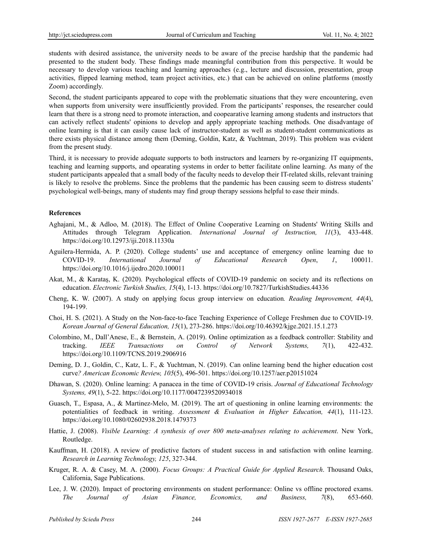students with desired assistance, the university needs to be aware of the precise hardship that the pandemic had presented to the student body. These findings made meaningful contribution from this perspective. It would be necessary to develop various teaching and learning approaches (e.g., lecture and discussion, presentation, group activities, flipped learning method, team project activities, etc.) that can be achieved on online platforms (mostly Zoom) accordingly.

Second, the student participants appeared to cope with the problematic situations that they were encountering, even when supports from university were insufficiently provided. From the participants' responses, the researcher could learn that there is a strong need to promote interaction, and coopearative learning among students and instructors that can actively reflect students' opinions to develop and apply appropriate teaching methods. One disadvantage of online learning is that it can easily cause lack of instructor-student as well as student-student communications as there exists physical distance among them (Deming, Goldin, Katz, & Yuchtman, 2019). This problem was evident from the present study.

Third, it is necessary to provide adequate supports to both instructors and learners by re-organizing IT equipments, teaching and learning supports, and opearating systems in order to better facilitate online learning. As many of the student participants appealed that a small body of the faculty needs to develop their IT-related skills, relevant training is likely to resolve the problems. Since the problems that the pandemic has been causing seem to distress students' psychological well-beings, many of students may find group therapy sessions helpful to ease their minds.

#### **References**

- Aghajani, M., & Adloo, M. (2018). The Effect of Online Cooperative Learning on Students' Writing Skills and Attitudes through Telegram Application. *International Journal of Instruction, 11*(3), 433-448. https://doi.org/10.12973/iji.2018.11330a
- Aguilera-Hermida, A. P. (2020). College students' use and acceptance of emergency online learning due to COVID-19. *International Journal of Educational Research Open*, *1*, 100011. https://doi.org/10.1016/j.ijedro.2020.100011
- Akat, M., & Karataş, K. (2020). Psychological effects of COVID-19 pandemic on society and its reflections on education. *Electronic Turkish Studies, 15*(4), 1-13. https://doi.org/10.7827/TurkishStudies.44336
- Cheng, K. W. (2007). A study on applying focus group interview on education*. Reading Improvement, 44*(4), 194-199.
- Choi, H. S. (2021). A Study on the Non-face-to-face Teaching Experience of College Freshmen due to COVID-19. *Korean Journal of General Education, 15*(1), 273-286. https://doi.org/10.46392/kjge.2021.15.1.273
- Colombino, M., Dall'Anese, E., & Bernstein, A. (2019). Online optimization as a feedback controller: Stability and tracking. *IEEE Transactions on Control of Network Systems, 7*(1), 422-432. https://doi.org/10.1109/TCNS.2019.2906916
- Deming, D. J., Goldin, C., Katz, L. F., & Yuchtman, N. (2019). Can online learning bend the higher education cost curve*? American Economic Review, 105*(5), 496-501. https://doi.org/10.1257/aer.p20151024
- Dhawan, S. (2020). Online learning: A panacea in the time of COVID-19 crisis. *Journal of Educational Technology Systems, 49*(1), 5-22. https://doi.org/10.1177/0047239520934018
- Guasch, T., Espasa, A., & Martinez-Melo, M. (2019). The art of questioning in online learning environments: the potentialities of feedback in writing. *Assessment & Evaluation in Higher Education, 44*(1), 111-123. https://doi.org/10.1080/02602938.2018.1479373
- Hattie, J. (2008). *Visible Learning: A synthesis of over 800 meta-analyses relating to achievement*. New York, Routledge.
- Kauffman, H. (2018). A review of predictive factors of student success in and satisfaction with online learning. *Research in Learning Technology, 125*, 327-344.
- Kruger, R. A. & Casey, M. A. (2000). *Focus Groups: A Practical Guide for Applied Research*. Thousand Oaks, California, Sage Publications.
- Lee, J. W. (2020). Impact of proctoring environments on student performance: Online vs offline proctored exams. *The Journal of Asian Finance, Economics, and Business, 7*(8), 653-660.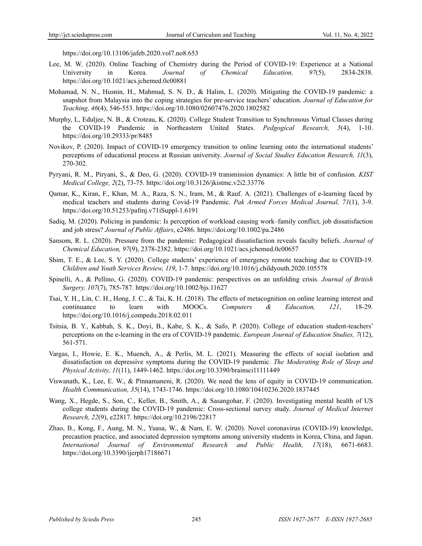https://doi.org/10.13106/jafeb.2020.vol7.no8.653

- Lee, M. W. (2020). Online Teaching of Chemistry during the Period of COVID-19: Experience at a National University in Korea. *Journal of Chemical Education, 97*(5), 2834-2838. https://doi.org/10.1021/acs.jchemed.0c00881
- Mohamad, N. N., Husnin, H., Mahmud, S. N. D., & Halim, L. (2020). Mitigating the COVID-19 pandemic: a snapshot from Malaysia into the coping strategies for pre-service teachers' education. *Journal of Education for Teaching, 46*(4), 546-553. https://doi.org/10.1080/02607476.2020.1802582
- Murphy, L, Eduljee, N. B., & Croteau, K. (2020). College Student Transition to Synchronous Virtual Classes during the COVID-19 Pandemic in Northeastern United States. *Pedgogical Research, 5*(4), 1-10. https://doi.org/10.29333/pr/8485
- Novikov, P. (2020). Impact of COVID-19 emergency transition to online learning onto the international students' perceptions of educational process at Russian university. *Journal of Social Studies Education Research, 11*(3), 270-302.
- Pyryani, R. M., Piryani, S., & Deo, G. (2020). COVID-19 transmission dynamics: A little bit of confusion. *KIST Medical College, 2*(2), 73-75. https://doi.org/10.3126/jkistmc.v2i2.33776
- Qamar, K., Kiran, F., Khan, M. A., Raza, S. N., Iram, M., & Rauf. A. (2021). Challenges of e-learning faced by medical teachers and students during Covid-19 Pandemic. *Pak Armed Forces Medical Journal, 71*(1), 3-9. https://doi.org/10.51253/pafmj.v71iSuppl-1.6191
- Sadiq, M. (2020). Policing in pandemic: Is perception of workload causing work–family conflict, job dissatisfaction and job stress? *Journal of Public Affairs*, e2486. https://doi.org/10.1002/pa.2486
- Sansom, R. L. (2020). Pressure from the pandemic: Pedagogical dissatisfaction reveals faculty beliefs. *Journal of Chemical Education, 97*(9), 2378-2382. https://doi.org/10.1021/acs.jchemed.0c00657
- Shim, T. E., & Lee, S. Y. (2020). College students' experience of emergency remote teaching due to COVID-19. *Children and Youth Services Review, 119*, 1-7. https://doi.org/10.1016/j.childyouth.2020.105578
- Spinelli, A., & Pellino, G. (2020). COVID-19 pandemic: perspectives on an unfolding crisis. *Journal of British Surgery, 107*(7), 785-787. https://doi.org/10.1002/bjs.11627
- Tsai, Y. H., Lin, C. H., Hong, J. C., & Tai, K. H. (2018). The effects of metacognition on online learning interest and continuance to learn with MOOCs. *Computers & Education, 121*, 18-29. https://doi.org/10.1016/j.compedu.2018.02.011
- Tsitsia, B. Y., Kabbah, S. K., Doyi, B., Kabe, S. K., & Safo, P. (2020). College of education student-teachers' perceptions on the e-learning in the era of COVID-19 pandemic. *European Journal of Education Studies, 7*(12), 561-571.
- Vargas, I., Howie, E. K., Muench, A., & Perlis, M. L. (2021). Measuring the effects of social isolation and dissatisfaction on depressive symptoms during the COVID-19 pandemic. *The Moderating Role of Sleep and Physical Activity, 11*(11), 1449-1462. https://doi.org/10.3390/brainsci11111449
- Viswanath, K., Lee, E. W., & Pinnamaneni, R. (2020). We need the lens of equity in COVID-19 communication. *Health Communication, 35*(14), 1743-1746. https://doi.org/10.1080/10410236.2020.1837445
- Wang, X., Hegde, S., Son, C., Keller, B., Smith, A., & Sasangohar, F. (2020). Investigating mental health of US college students during the COVID-19 pandemic: Cross-sectional survey study. *Journal of Medical Internet Research, 22*(9), e22817. https://doi.org/10.2196/22817
- Zhao, B., Kong, F., Aung, M. N., Yuasa, W., & Nam, E. W. (2020). Novel coronavirus (COVID-19) knowledge, precaution practice, and associated depression symptoms among university students in Korea, China, and Japan. *International Journal of Environmental Research and Public Health, 17*(18), 6671-6683. https://doi.org/10.3390/ijerph17186671